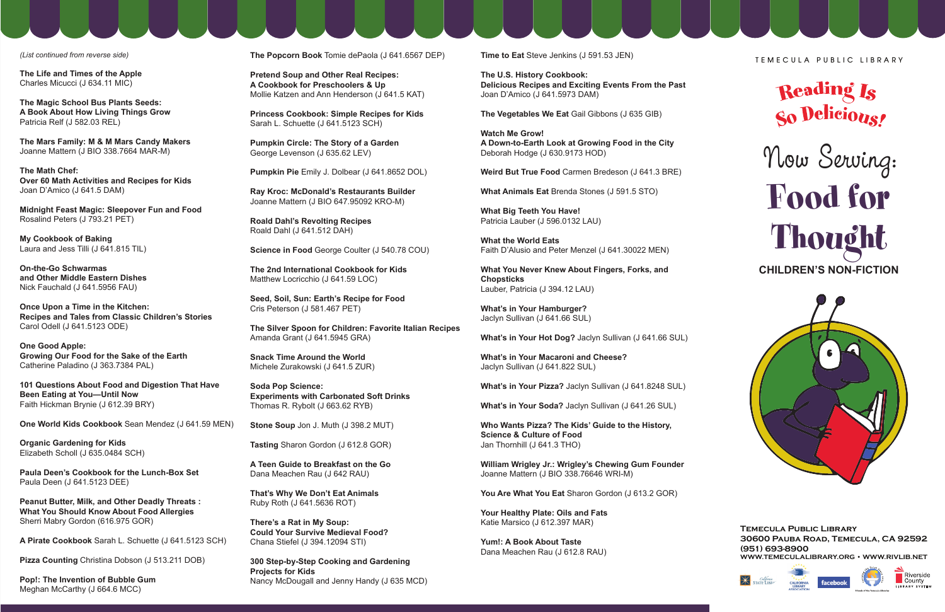*(List continued from reverse side)*

**The Life and Times of the Apple** Charles Micucci (J 634.11 MIC)

**The Magic School Bus Plants Seeds: A Book About How Living Things Grow**  Patricia Relf (J 582.03 REL)

**The Mars Family: M & M Mars Candy Makers**  Joanne Mattern (J BIO 338.7664 MAR-M)

**The Math Chef: Over 60 Math Activities and Recipes for Kids**  Joan D'Amico (J 641.5 DAM)

**Midnight Feast Magic: Sleepover Fun and Food**  Rosalind Peters (J 793.21 PET)

**My Cookbook of Baking**  Laura and Jess Tilli (J 641.815 TIL)

**On-the-Go Schwarmas and Other Middle Eastern Dishes**  Nick Fauchald (J 641.5956 FAU)

**Once Upon a Time in the Kitchen: Recipes and Tales from Classic Children's Stories**  Carol Odell (J 641.5123 ODE)

**One Good Apple: Growing Our Food for the Sake of the Earth**  Catherine Paladino (J 363.7384 PAL)

**101 Questions About Food and Digestion That Have Been Eating at You—Until Now**  Faith Hickman Brynie (J 612.39 BRY)

**One World Kids Cookbook** Sean Mendez (J 641.59 MEN)

**Organic Gardening for Kids** Elizabeth Scholl (J 635.0484 SCH)

**Paula Deen's Cookbook for the Lunch-Box Set**  Paula Deen (J 641.5123 DEE)

**Peanut Butter, Milk, and Other Deadly Threats : What You Should Know About Food Allergies** Sherri Mabry Gordon (616.975 GOR)

**A Pirate Cookbook** Sarah L. Schuette (J 641.5123 SCH)

**Pizza Counting** Christina Dobson (J 513.211 DOB)

**Pop!: The Invention of Bubble Gum**  Meghan McCarthy (J 664.6 MCC)

**The Popcorn Book** Tomie dePaola (J 641.6567 DEP)

**Pretend Soup and Other Real Recipes: A Cookbook for Preschoolers & Up**  Mollie Katzen and Ann Henderson (J 641.5 KAT)

**Princess Cookbook: Simple Recipes for Kids**  Sarah L. Schuette (J 641.5123 SCH)

**Pumpkin Circle: The Story of a Garden**  George Levenson (J 635.62 LEV)

**Pumpkin Pie** Emily J. Dolbear (J 641.8652 DOL)

**Ray Kroc: McDonald's Restaurants Builder**  Joanne Mattern (J BIO 647.95092 KRO-M)

**Roald Dahl's Revolting Recipes** Roald Dahl (J 641.512 DAH)

**Science in Food** George Coulter (J 540.78 COU)

**The 2nd International Cookbook for Kids**  Matthew Locricchio (J 641.59 LOC)

**Seed, Soil, Sun: Earth's Recipe for Food**  Cris Peterson (J 581.467 PET)

**The Silver Spoon for Children: Favorite Italian Recipes**  Amanda Grant (J 641.5945 GRA)

**Snack Time Around the World** Michele Zurakowski (J 641.5 ZUR)

**Soda Pop Science: Experiments with Carbonated Soft Drinks**  Thomas R. Rybolt (J 663.62 RYB)

**Stone Soup** Jon J. Muth (J 398.2 MUT)

**Tasting** Sharon Gordon (J 612.8 GOR)

**A Teen Guide to Breakfast on the Go**  Dana Meachen Rau (J 642 RAU)

**That's Why We Don't Eat Animals** Ruby Roth (J 641.5636 ROT)

**There's a Rat in My Soup: Could Your Survive Medieval Food?**  Chana Stiefel (J 394.12094 STI)

**300 Step-by-Step Cooking and Gardening Projects for Kids**  Nancy McDougall and Jenny Handy (J 635 MCD) **Time to Eat** Steve Jenkins (J 591.53 JEN)

**The U.S. History Cookbook: Delicious Recipes and Exciting Events From the Past**  Joan D'Amico (J 641.5973 DAM)

**The Vegetables We Eat** Gail Gibbons (J 635 GIB)

**Watch Me Grow! A Down-to-Earth Look at Growing Food in the City**  Deborah Hodge (J 630.9173 HOD)

**Weird But True Food** Carmen Bredeson (J 641.3 BRE)

**What Animals Eat** Brenda Stones (J 591.5 STO)

**What Big Teeth You Have!** Patricia Lauber (J 596.0132 LAU)

**What the World Eats** Faith D'Alusio and Peter Menzel (J 641.30022 MEN)

**What You Never Knew About Fingers, Forks, and Chopsticks**  Lauber, Patricia (J 394.12 LAU)

**What's in Your Hamburger?** Jaclyn Sullivan (J 641.66 SUL)

**What's in Your Hot Dog?** Jaclyn Sullivan (J 641.66 SUL)

**What's in Your Macaroni and Cheese?**  Jaclyn Sullivan (J 641.822 SUL)

**What's in Your Pizza?** Jaclyn Sullivan (J 641.8248 SUL)

**What's in Your Soda?** Jaclyn Sullivan (J 641.26 SUL)

**Who Wants Pizza? The Kids' Guide to the History, Science & Culture of Food** Jan Thornhill (J 641.3 THO)

**William Wrigley Jr.: Wrigley's Chewing Gum Founder**  Joanne Mattern (J BIO 338.76646 WRI-M)

You Are What You Eat Sharon Gordon (J 613.2 GOR)

**Your Healthy Plate: Oils and Fats** Katie Marsico (J 612.397 MAR)

**Yum!: A Book About Taste** Dana Meachen Rau (J 612.8 RAU) **TEMECULA PUBLIC LIBRAR Y**



## Now Serving: Food for Thought **CHILDREN'S NON-FICTION**



**Temecula Public Library 30600 Pauba Road, Temecula, CA 92592 (951) 693-8900 WWW.TEMECULALIBRARY.OR\*::W.RIVLIB.NET**